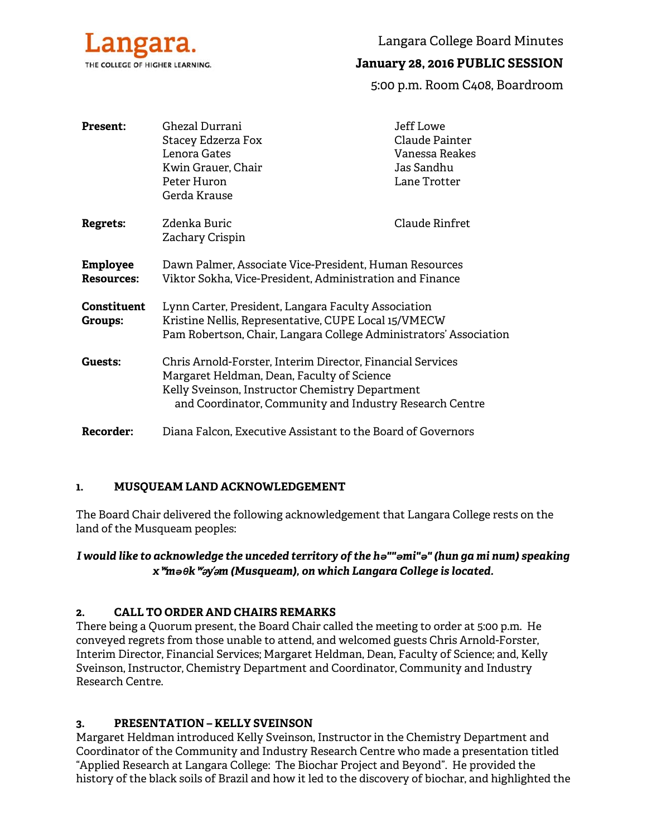

Langara College Board Minutes

# **January 28, 2016 PUBLIC SESSION**

5:00 p.m. Room C408, Boardroom

| <b>Present:</b>                      | Ghezal Durrani<br><b>Stacey Edzerza Fox</b>                                                                                                                                                                            | Jeff Lowe<br>Claude Painter |
|--------------------------------------|------------------------------------------------------------------------------------------------------------------------------------------------------------------------------------------------------------------------|-----------------------------|
|                                      | Lenora Gates                                                                                                                                                                                                           | Vanessa Reakes              |
|                                      | Kwin Grauer, Chair                                                                                                                                                                                                     | Jas Sandhu                  |
|                                      | Peter Huron                                                                                                                                                                                                            | Lane Trotter                |
|                                      | Gerda Krause                                                                                                                                                                                                           |                             |
| <b>Regrets:</b>                      | Zdenka Buric<br>Zachary Crispin                                                                                                                                                                                        | Claude Rinfret              |
| <b>Employee</b><br><b>Resources:</b> | Dawn Palmer, Associate Vice-President, Human Resources<br>Viktor Sokha, Vice-President, Administration and Finance                                                                                                     |                             |
| <b>Constituent</b><br><b>Groups:</b> | Lynn Carter, President, Langara Faculty Association<br>Kristine Nellis, Representative, CUPE Local 15/VMECW<br>Pam Robertson, Chair, Langara College Administrators' Association                                       |                             |
| Guests:                              | Chris Arnold-Forster, Interim Director, Financial Services<br>Margaret Heldman, Dean, Faculty of Science<br>Kelly Sveinson, Instructor Chemistry Department<br>and Coordinator, Community and Industry Research Centre |                             |
| <b>Recorder:</b>                     | Diana Falcon, Executive Assistant to the Board of Governors                                                                                                                                                            |                             |

#### **1. MUSQUEAM LAND ACKNOWLEDGEMENT**

The Board Chair delivered the following acknowledgement that Langara College rests on the land of the Musqueam peoples:

#### *I would like to acknowledge the unceded territory of the hə""əmi"ə" (hun ga mi num) speaking x*ʷ*məθk*ʷə*y*̓ə*m (Musqueam), on which Langara College is located.*

#### **2. CALL TO ORDER AND CHAIRS REMARKS**

There being a Quorum present, the Board Chair called the meeting to order at 5:00 p.m. He conveyed regrets from those unable to attend, and welcomed guests Chris Arnold-Forster, Interim Director, Financial Services; Margaret Heldman, Dean, Faculty of Science; and, Kelly Sveinson, Instructor, Chemistry Department and Coordinator, Community and Industry Research Centre.

#### **3. PRESENTATION – KELLY SVEINSON**

Margaret Heldman introduced Kelly Sveinson, Instructor in the Chemistry Department and Coordinator of the Community and Industry Research Centre who made a presentation titled "Applied Research at Langara College: The Biochar Project and Beyond". He provided the history of the black soils of Brazil and how it led to the discovery of biochar, and highlighted the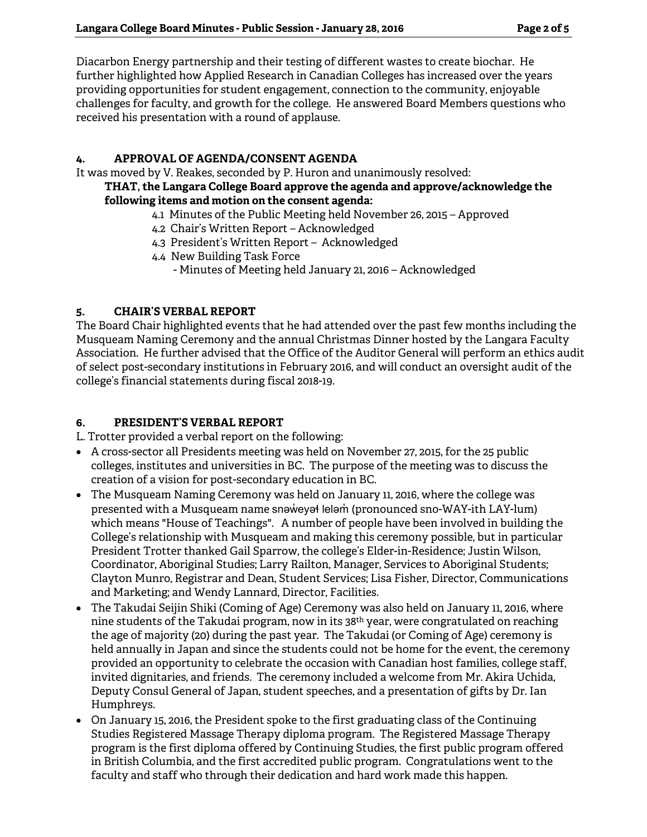Diacarbon Energy partnership and their testing of different wastes to create biochar. He further highlighted how Applied Research in Canadian Colleges has increased over the years providing opportunities for student engagement, connection to the community, enjoyable challenges for faculty, and growth for the college. He answered Board Members questions who received his presentation with a round of applause.

#### **4. APPROVAL OF AGENDA/CONSENT AGENDA**

It was moved by V. Reakes, seconded by P. Huron and unanimously resolved:

#### **THAT, the Langara College Board approve the agenda and approve/acknowledge the following items and motion on the consent agenda:**

- 4.1 Minutes of the Public Meeting held November 26, 2015 Approved
- 4.2 Chair's Written Report Acknowledged
- 4.3 President's Written Report Acknowledged
- 4.4 New Building Task Force
	- Minutes of Meeting held January 21, 2016 Acknowledged

# **5. CHAIR'S VERBAL REPORT**

The Board Chair highlighted events that he had attended over the past few months including the Musqueam Naming Ceremony and the annual Christmas Dinner hosted by the Langara Faculty Association. He further advised that the Office of the Auditor General will perform an ethics audit of select post-secondary institutions in February 2016, and will conduct an oversight audit of the college's financial statements during fiscal 2018-19.

## **6. PRESIDENT'S VERBAL REPORT**

L. Trotter provided a verbal report on the following:

- A cross-sector all Presidents meeting was held on November 27, 2015, for the 25 public colleges, institutes and universities in BC. The purpose of the meeting was to discuss the creation of a vision for post-secondary education in BC.
- The Musqueam Naming Ceremony was held on January 11, 2016, where the college was presented with a Musqueam name snəweyət leləm (pronounced sno-WAY-ith LAY-lum) which means "House of Teachings". A number of people have been involved in building the College's relationship with Musqueam and making this ceremony possible, but in particular President Trotter thanked Gail Sparrow, the college's Elder-in-Residence; Justin Wilson, Coordinator, Aboriginal Studies; Larry Railton, Manager, Services to Aboriginal Students; Clayton Munro, Registrar and Dean, Student Services; Lisa Fisher, Director, Communications and Marketing; and Wendy Lannard, Director, Facilities.
- The Takudai Seijin Shiki (Coming of Age) Ceremony was also held on January 11, 2016, where nine students of the Takudai program, now in its 38th year, were congratulated on reaching the age of majority (20) during the past year. The Takudai (or Coming of Age) ceremony is held annually in Japan and since the students could not be home for the event, the ceremony provided an opportunity to celebrate the occasion with Canadian host families, college staff, invited dignitaries, and friends. The ceremony included a welcome from Mr. Akira Uchida, Deputy Consul General of Japan, student speeches, and a presentation of gifts by Dr. Ian Humphreys.
- On January 15, 2016, the President spoke to the first graduating class of the Continuing Studies Registered Massage Therapy diploma program. The Registered Massage Therapy program is the first diploma offered by Continuing Studies, the first public program offered in British Columbia, and the first accredited public program. Congratulations went to the faculty and staff who through their dedication and hard work made this happen.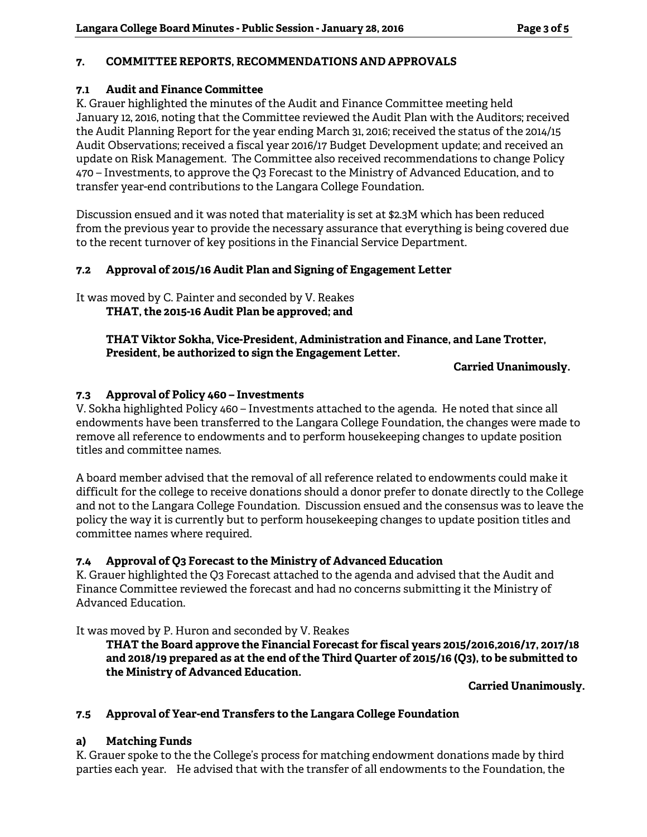## **7. COMMITTEE REPORTS, RECOMMENDATIONS AND APPROVALS**

#### **7.1 Audit and Finance Committee**

K. Grauer highlighted the minutes of the Audit and Finance Committee meeting held January 12, 2016, noting that the Committee reviewed the Audit Plan with the Auditors; received the Audit Planning Report for the year ending March 31, 2016; received the status of the 2014/15 Audit Observations; received a fiscal year 2016/17 Budget Development update; and received an update on Risk Management. The Committee also received recommendations to change Policy 470 – Investments, to approve the Q3 Forecast to the Ministry of Advanced Education, and to transfer year-end contributions to the Langara College Foundation.

Discussion ensued and it was noted that materiality is set at \$2.3M which has been reduced from the previous year to provide the necessary assurance that everything is being covered due to the recent turnover of key positions in the Financial Service Department.

## **7.2 Approval of 2015/16 Audit Plan and Signing of Engagement Letter**

It was moved by C. Painter and seconded by V. Reakes  **THAT, the 2015-16 Audit Plan be approved; and** 

### **THAT Viktor Sokha, Vice-President, Administration and Finance, and Lane Trotter, President, be authorized to sign the Engagement Letter.**

#### **Carried Unanimously.**

## **7.3 Approval of Policy 460 – Investments**

V. Sokha highlighted Policy 460 – Investments attached to the agenda. He noted that since all endowments have been transferred to the Langara College Foundation, the changes were made to remove all reference to endowments and to perform housekeeping changes to update position titles and committee names.

A board member advised that the removal of all reference related to endowments could make it difficult for the college to receive donations should a donor prefer to donate directly to the College and not to the Langara College Foundation. Discussion ensued and the consensus was to leave the policy the way it is currently but to perform housekeeping changes to update position titles and committee names where required.

#### **7.4 Approval of Q3 Forecast to the Ministry of Advanced Education**

K. Grauer highlighted the Q3 Forecast attached to the agenda and advised that the Audit and Finance Committee reviewed the forecast and had no concerns submitting it the Ministry of Advanced Education.

It was moved by P. Huron and seconded by V. Reakes

**THAT the Board approve the Financial Forecast for fiscal years 2015/2016,2016/17, 2017/18 and 2018/19 prepared as at the end of the Third Quarter of 2015/16 (Q3), to be submitted to the Ministry of Advanced Education.** 

**Carried Unanimously.** 

#### **7.5 Approval of Year-end Transfers to the Langara College Foundation**

#### **a) Matching Funds**

K. Grauer spoke to the the College's process for matching endowment donations made by third parties each year. He advised that with the transfer of all endowments to the Foundation, the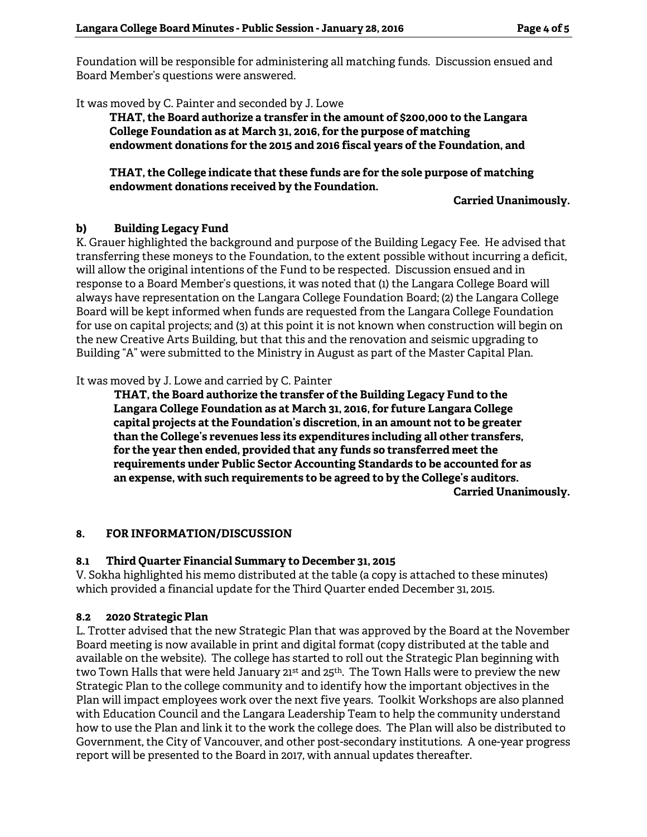Foundation will be responsible for administering all matching funds. Discussion ensued and Board Member's questions were answered.

It was moved by C. Painter and seconded by J. Lowe

**THAT, the Board authorize a transfer in the amount of \$200,000 to the Langara College Foundation as at March 31, 2016, for the purpose of matching endowment donations for the 2015 and 2016 fiscal years of the Foundation, and** 

**THAT, the College indicate that these funds are for the sole purpose of matching endowment donations received by the Foundation.** 

**Carried Unanimously.** 

## **b) Building Legacy Fund**

K. Grauer highlighted the background and purpose of the Building Legacy Fee. He advised that transferring these moneys to the Foundation, to the extent possible without incurring a deficit, will allow the original intentions of the Fund to be respected. Discussion ensued and in response to a Board Member's questions, it was noted that (1) the Langara College Board will always have representation on the Langara College Foundation Board; (2) the Langara College Board will be kept informed when funds are requested from the Langara College Foundation for use on capital projects; and (3) at this point it is not known when construction will begin on the new Creative Arts Building, but that this and the renovation and seismic upgrading to Building "A" were submitted to the Ministry in August as part of the Master Capital Plan.

It was moved by J. Lowe and carried by C. Painter

 **THAT, the Board authorize the transfer of the Building Legacy Fund to the Langara College Foundation as at March 31, 2016, for future Langara College capital projects at the Foundation's discretion, in an amount not to be greater than the College's revenues less its expenditures including all other transfers, for the year then ended, provided that any funds so transferred meet the requirements under Public Sector Accounting Standards to be accounted for as an expense, with such requirements to be agreed to by the College's auditors. Carried Unanimously.** 

# **8. FOR INFORMATION/DISCUSSION**

# **8.1 Third Quarter Financial Summary to December 31, 2015**

V. Sokha highlighted his memo distributed at the table (a copy is attached to these minutes) which provided a financial update for the Third Quarter ended December 31, 2015.

#### **8.2 2020 Strategic Plan**

L. Trotter advised that the new Strategic Plan that was approved by the Board at the November Board meeting is now available in print and digital format (copy distributed at the table and available on the website). The college has started to roll out the Strategic Plan beginning with two Town Halls that were held January  $21^{st}$  and  $25^{th}$ . The Town Halls were to preview the new Strategic Plan to the college community and to identify how the important objectives in the Plan will impact employees work over the next five years. Toolkit Workshops are also planned with Education Council and the Langara Leadership Team to help the community understand how to use the Plan and link it to the work the college does. The Plan will also be distributed to Government, the City of Vancouver, and other post-secondary institutions. A one-year progress report will be presented to the Board in 2017, with annual updates thereafter.